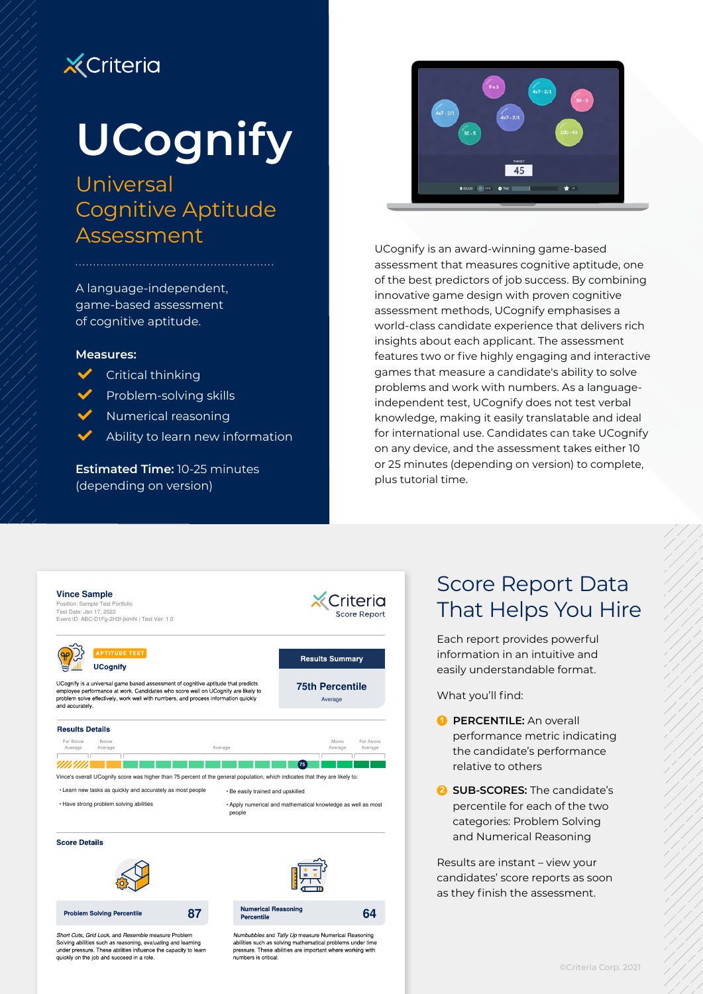## **X** Criteria

# **UCognify**

## Universal Cognitive Aptitude Assessment

A language-independent, game-based assessment of cognitive aptitude.

#### **Measures:**

- Critical thinking
- Problem-solving skills
- L Numerical reasoning
- Ability to learn new information

**Estimated Time:** 10-25 minutes (depending on version)



UCognify is an award-winning game-based assessment that measures cognitive aptitude, one of the best predictors of job success. By combining innovative game design with proven cognitive assessment methods, UCognify emphasises a world-class candidate experience that delivers rich insights about each applicant. The assessment features two or five highly engaging and interactive games that measure a candidate's ability to solve problems and work with numbers. As a languageindependent test, UCognify does not test verbal knowledge, making it easily translatable and ideal for international use. Candidates can take UCognify on any device, and the assessment takes either 10 or 25 minutes (depending on version) to complete, plus tutorial time.



### Score Report Data That Helps You Hire

Each report provides powerful information in an intuitive and easily understandable format.

What you'll find:

**1 PERCENTILE:** An overall performance metric indicating the candidate's performance relative to others

**2 SUB-SCORES:** The candidate's percentile for each of the two categories: Problem Solving and Numerical Reasoning

Results are instant – view your candidates' score reports as soon as they finish the assessment.